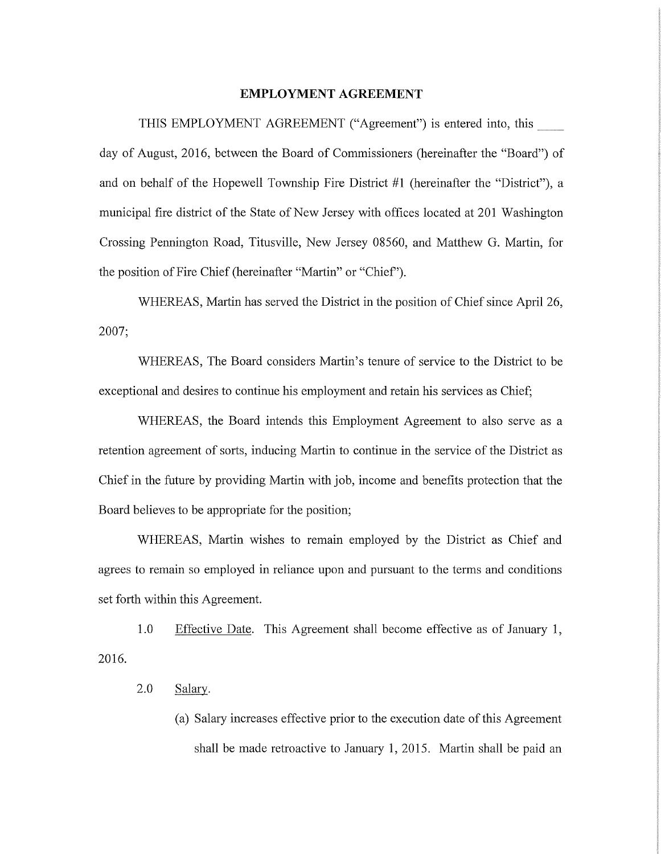## **EMPLOYMENT AGREEMENT**

THIS EMPLOYMENT AGREEMENT ("Agreement") is entered into, this \_\_ day of August, 2016, between the Board of Commissioners (hereinafter the "Board") of and on behalf of the Hopewell Township Fire District #1 (hereinafter the "District"), a municipal fire district of the State of New Jersey with offices located at 201 Washington Crossing Pennington Road, Titusville, New Jersey 08560, and Matthew G. Martin, for the position of Fire Chief (hereinafter "Martin" or "Chief').

WHEREAS, Martin has served the District in the position of Chief since April 26, 2007;

WHEREAS, The Board considers Martin's tenure of service to the District to be exceptional and desires to continue his employment and retain his services as Chief;

WHEREAS, the Board intends this Employment Agreement to also serve as a retention agreement of sorts, inducing Martin to continue in the service of the District as Chief in the future by providing Martin with job, income and benefits protection that the Board believes to be appropriate for the position;

WHEREAS, Martin wishes to remain employed by the District as Chief and agrees to remain so employed in reliance upon and pursuant to the terms and conditions set forth within this Agreement.

2016. 1.0 Effective Date. This Agreement shall become effective as of January 1,

## 2.0 Salary.

(a) Salary increases effective prior to the execution date of this Agreement shall be made retroactive to January 1, 2015. Martin shall be paid an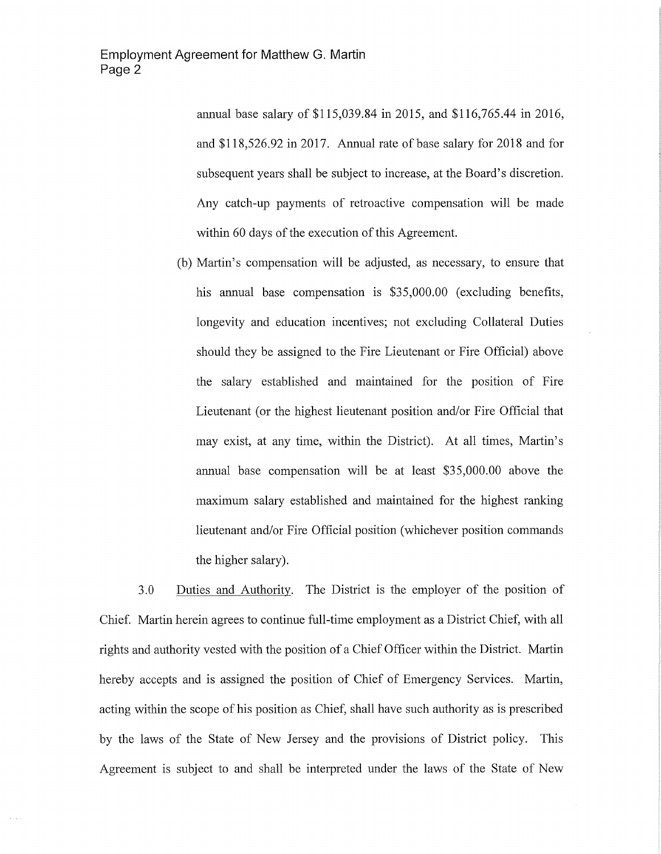annual base salary of \$115,039.84 in 2015, and \$116,765.44 in 2016, and \$118,526.92 in 2017. Annual rate of base salary for 2018 and for subsequent years shall be subject to increase, at the Board's discretion. Any catch-up payments of retroactive compensation will be made within 60 days of the execution of this Agreement.

(b) Martin's compensation will be adjusted, as necessary, to ensure that his annual base compensation is \$35,000.00 (excluding benefits, longevity and education incentives; not excluding Collateral Duties should they be assigned to the Fire Lieutenant or Fire Official) above the salary established and maintained for the position of Fire Lieutenant (or the highest lieutenant position and/or Fire Official that may exist, at any time, within the District). At all times, Martin's annual base compensation will be at least \$35,000.00 above the maximum salary established and maintained for the highest ranking lieutenant and/or Fire Official position (whichever position commands the higher salary).

3.0 Duties and Authority. The District is the employer of the position of Chief. Martin herein agrees to continue full-time employment as a District Chief, with all rights and authority vested with the position of a Chief Officer within the District. Martin hereby accepts and is assigned the position of Chief of Emergency Services. Martin, acting within the scope of his position as Chief, shall have such authority as is prescribed by the laws of the State of New Jersey and the provisions of District policy. This Agreement is subject to and shall be interpreted under the laws of the State of New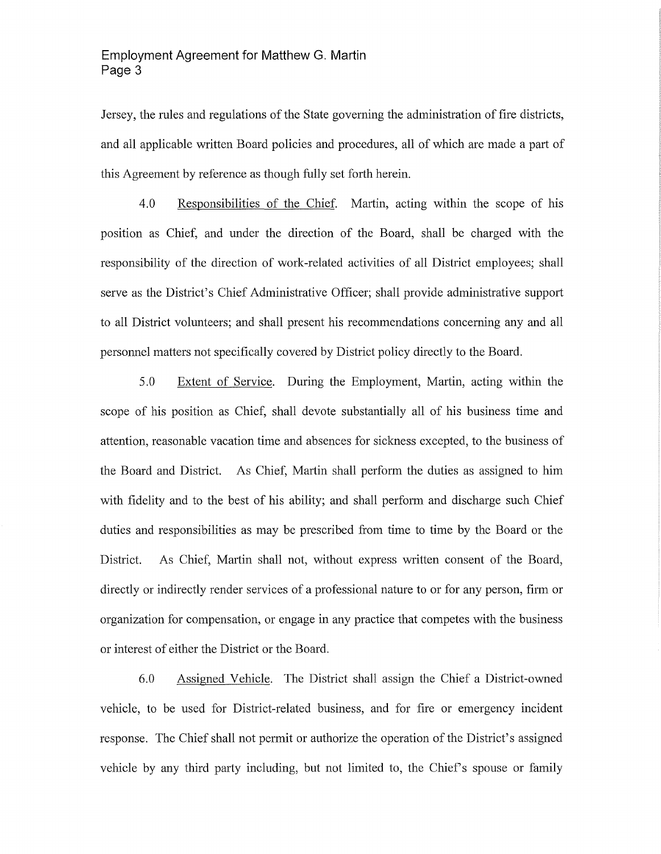Jersey, the rules and regulations of the State governing the administration of fire districts, and all applicable written Board policies and procedures, all of which are made a part of this Agreement by reference as though fully set forth herein.

4.0 Responsibilities of the Chief. Martin, acting within the scope of his position as Chief, and under the direction of the Board, shall be charged with the responsibility of the direction of work-related activities of all District employees; shall serve as the District's Chief Administrative Officer; shall provide administrative support to all District volunteers; and shall present his recommendations concerning any and all personnel matters not specifically covered by District policy directly to the Board.

5.0 Extent of Service. During the Employment, Martin, acting within the scope of his position as Chief, shall devote substantially all of his business time and attention, reasonable vacation time and absences for sickness excepted, to the business of the Board and District. As Chief, Martin shall perform the duties as assigned to him with fidelity and to the best of his ability; and shall perform and discharge such Chief duties and responsibilities as may be prescribed from time to time by the Board or the District. As Chief, Martin shall not, without express written consent of the Board, directly or indirectly render services of a professional nature to or for any person, firm or organization for compensation, or engage in any practice that competes with the business or interest of either the District or the Board.

6.0 Assigned Vehicle. The District shall assign the Chief a District-owned vehicle, to be used for District-related business, and for fire or emergency incident response. The Chief shall not permit or authorize the operation of the District's assigned vehicle by any third party including, but not limited to, the Chief's spouse or family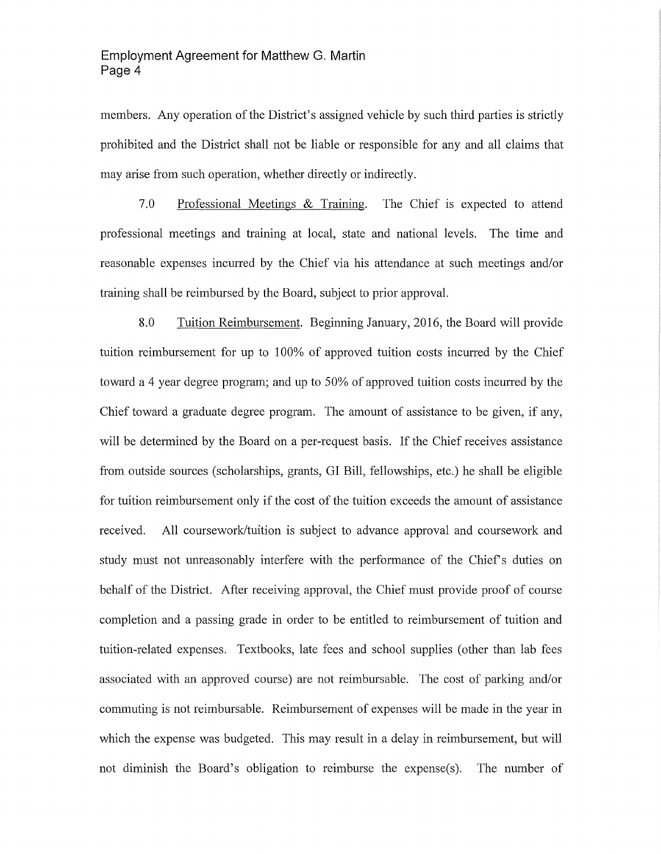members. Any operation of the District's assigned vehicle by such third parties is strictly prohibited and the District shall not be liable or responsible for any and all claims that may arise from such operation, whether directly or indirectly.

7.0 Professional Meetings & Training. The Chief is expected to attend professional meetings and training at local, state and national levels. The time and reasonable expenses incurred by the Chief via his attendance at such meetings and/or training shall be reimbursed by the Board, subject to prior approval.

8.0 Tuition Reimbursement. Beginning January, 2016, the Board will provide tuition reimbursement for up to 100% of approved tuition costs incurred by the Chief toward a 4 year degree program; and up to 50% of approved tuition costs incurred by the Chief toward a graduate degree program. The amount of assistance to be given, if any, will be determined by the Board on a per-request basis. If the Chief receives assistance from outside sources (scholarships, grants, GI Bill, fellowships, etc.) he shall be eligible for tuition reimbursement only if the cost of the tuition exceeds the amount of assistance received. All coursework/tuition is subject to advance approval and coursework and study must not unreasonably interfere with the performance of the Chief's duties on behalf of the District. After receiving approval, the Chief must provide proof of course completion and a passing grade in order to be entitled to reimbursement of tuition and tuition-related expenses. Textbooks, late fees and school supplies (other than lab fees associated with an approved course) are not reimbursable. The cost of parking and/or commuting is not reimbursable. Reimbursement of expenses will be made in the year in which the expense was budgeted. This may result in a delay in reimbursement, but will not diminish the Board's obligation to reimburse the expense(s). The number of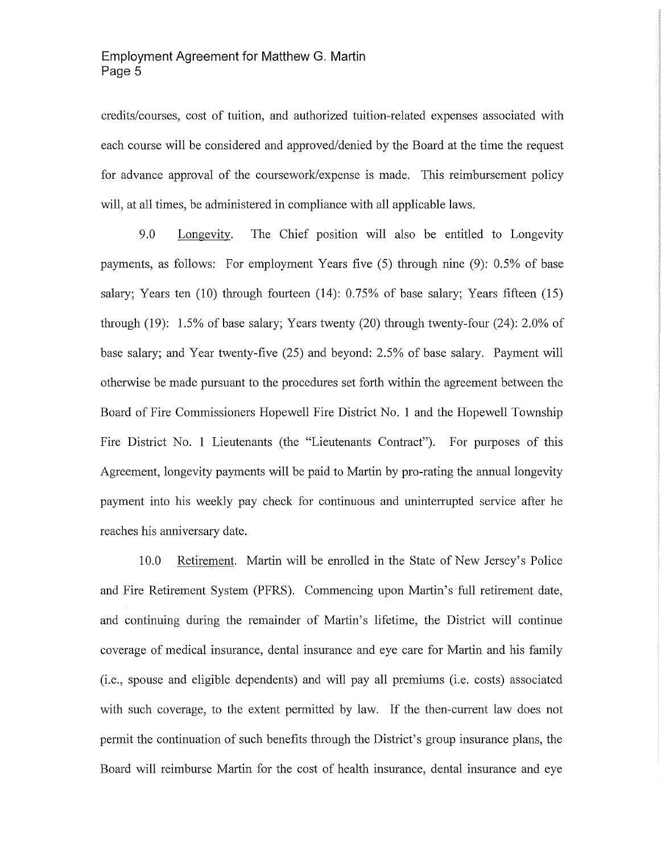## **Employment Agreement for Matthew G. Martin Page 5**

credits/courses, cost of tuition, and authorized tuition-related expenses associated with each course will be considered and approved/denied by the Board at the time the request for advance approval of the coursework/expense is made. This reimbursement policy will, at all times, be administered in compliance with all applicable laws.

9.0 Longevity. The Chief position will also be entitled to Longevity payments, as follows: For employment Years five (5) through nine (9): 0.5% of base salary; Years ten (10) through fourteen **(14):** 0.75% of base salary; Years fifteen (15) through (19): 1.5% of base salary; Years twenty (20) through twenty-four (24): 2.0% of base salary; and Year twenty-five (25) and beyond: 2.5% of base salary. Payment will otherwise be made pursuant to the procedures set forth within the agreement between the Board of Fire Commissioners Hopewell Fire District No. **1** and the Hopewell Township Fire District No. **1** Lieutenants (the "Lieutenants Contract"). For purposes of this Agreement, longevity payments will be paid to Martin by pro-rating the annual longevity payment into his weekly pay check for continuous and unintenupted service after he reaches his anniversary date.

10.0 Retirement. Martin will be emolled in the State of New Jersey's Police and Fire Retirement System (PFRS). Commencing upon Martin's full retirement date, and continuing during the remainder of Martin's lifetime, the District will continue coverage of medical insurance, dental insurance and eye care for Martin and his family (i.e., spouse and eligible dependents) and will pay all premiums (i.e. costs) associated with such coverage, to the extent permitted by law. If the then-current law does not permit the continuation of such benefits through the District's group insurance plans, the Board will reimburse Martin for the cost of health insurance, dental insurance and eye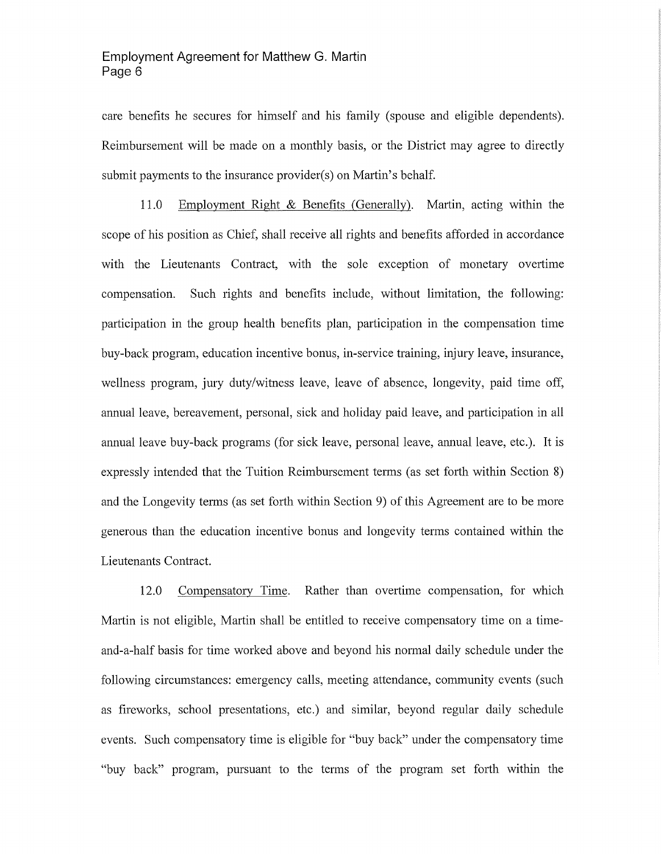care benefits he secures for himself and his family (spouse and eligible dependents). Reimbursement will be made on a monthly basis, or the District may agree to directly submit payments to the insurance provider(s) on Martin's behalf.

11.0 Employment Right & Benefits (Generally). Martin, acting within the scope of his position as Chief, shall receive all rights and benefits afforded in accordance with the Lieutenants Contract, with the sole exception of monetary overtime compensation. Such rights and benefits include, without limitation, the following: participation in the group health benefits plan, participation in the compensation time buy-back program, education incentive bonus, in-service training, injury leave, insurance, wellness program, jury duty/witness leave, leave of absence, longevity, paid time off, annual leave, bereavement, personal, sick and holiday paid leave, and participation in all annual leave buy-back programs (for sick leave, personal leave, annual leave, etc.). It is expressly intended that the Tuition Reimbursement terms (as set forth within Section 8) and the Longevity terms (as set forth within Section 9) of this Agreement are to be more generous than the education incentive bonus and longevity terms contained within the Lieutenants Contract.

12.0 Compensatory Time. Rather than overtime compensation, for which Martin is not eligible, Martin shall be entitled to receive compensatory time on a timeand-a-half basis for time worked above and beyond his normal daily schedule under the following circumstances: emergency calls, meeting attendance, community events (such as fireworks, school presentations, etc.) and similar, beyond regular daily schedule events. Such compensatory time is eligible for "buy back" under the compensatory time "buy back" program, pursuant to the terms of the program set forth within the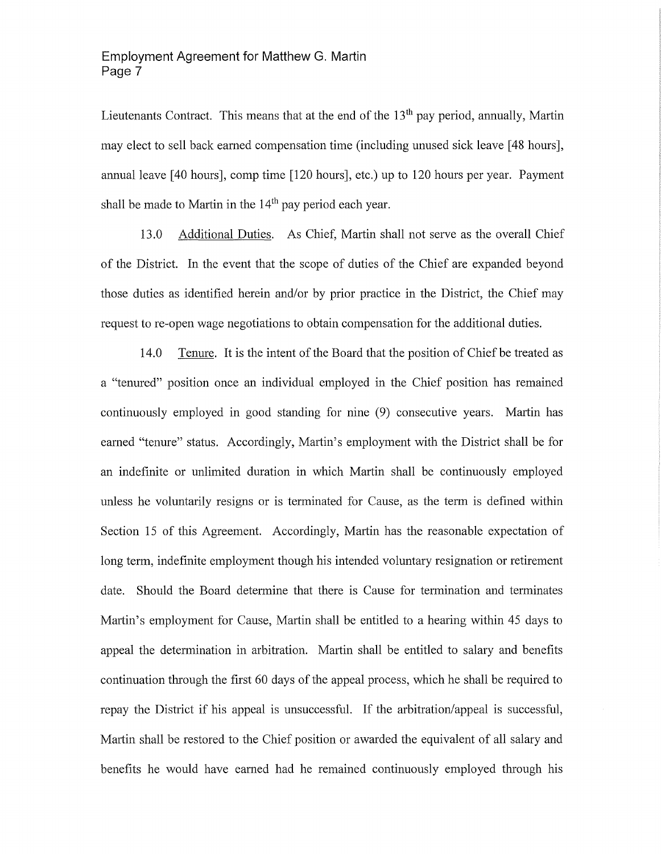Lieutenants Contract. This means that at the end of the  $13<sup>th</sup>$  pay period, annually, Martin may elect to sell back earned compensation time (including unused sick leave [48 hours], annual leave [40 hours], comp time [120 hours], etc.) up to 120 hours per year. Payment shall be made to Martin in the  $14<sup>th</sup>$  pay period each year.

13.0 Additional Duties. As Chief, Martin shall not serve as the overall Chief of the District. In the event that the scope of duties of the Chief are expanded beyond those duties as identified herein and/or by prior practice in the District, the Chief may request to re-open wage negotiations to obtain compensation for the additional duties.

14.0 Tenure. It is the intent of the Board that the position of Chief be treated as a "tenured" position once an individual employed in the Chief position has remained continuously employed in good standing for nine (9) consecutive years. Martin has earned "tenure" status. Accordingly, Martin's employment with the District shall be for an indefinite or unlimited duration in which Martin shall be continuously employed unless he voluntarily resigns or is terminated for Cause, as the term is defined within Section 15 of this Agreement. Accordingly, Martin has the reasonable expectation of long term, indefinite employment though his intended voluntary resignation or retirement date. Should the Board determine that there is Cause for termination and terminates Martin's employment for Cause, Martin shall be entitled to a hearing within 45 days to appeal the determination in arbitration. Martin shall be entitled to salary and benefits continuation through the first 60 days of the appeal process, which he shall be required to repay the District if his appeal is unsuccessful. If the arbitration/appeal is successful, Martin shall be restored to the Chief position or awarded the equivalent of all salary and benefits he would have earned had he remained continuously employed through his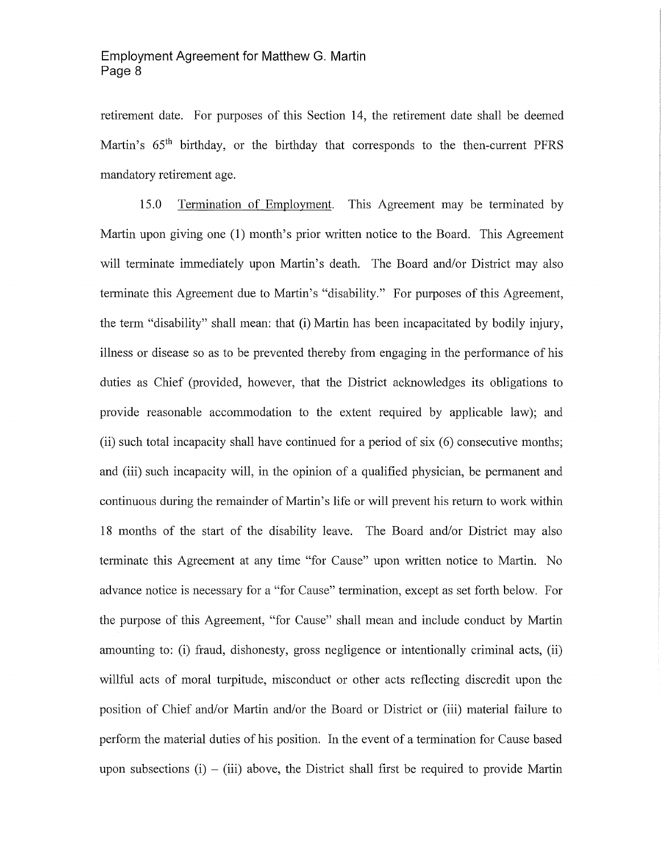retirement date. For purposes of this Section 14, the retirement date shall be deemed Martin's 65<sup>th</sup> birthday, or the birthday that corresponds to the then-current PFRS mandatory retirement age.

15.0 Termination of Employment. This Agreement may be terminated by Martin upon giving one (1) month's prior written notice to the Board. This Agreement will terminate immediately upon Martin's death. The Board and/or District may also terminate this Agreement due to Martin's "disability." For purposes of this Agreement, the term "disability" shall mean: that (i) Martin has been incapacitated by bodily injury, illness or disease so as to be prevented thereby from engaging in the performance of his duties as Chief (provided, however, that the District acknowledges its obligations to provide reasonable accommodation to the extent required by applicable law); and (ii) such total incapacity shall have continued for a period of  $\ddot{\text{six}}$  (6) consecutive months; and (iii) such incapacity will, in the opinion of a qualified physician, be permanent and continuous during the remainder of Martin's life or will prevent his return to work within 18 months of the start of the disability leave. The Board and/or District may also terminate this Agreement at any time "for Cause" upon written notice to Martin. No advance notice is necessary for a "for Cause" termination, except as set forth below. For the purpose of this Agreement, "for Cause" shall mean and include conduct by Martin amounting to: (i) fraud, dishonesty, gross negligence or intentionally criminal acts, (ii) willful acts of moral turpitude, misconduct or other acts reflecting discredit upon the position of Chief and/or Martin and/or the Board or District or (iii) material failure to perform the material duties of his position. In the event of a termination for Cause based upon subsections  $(i) - (iii)$  above, the District shall first be required to provide Martin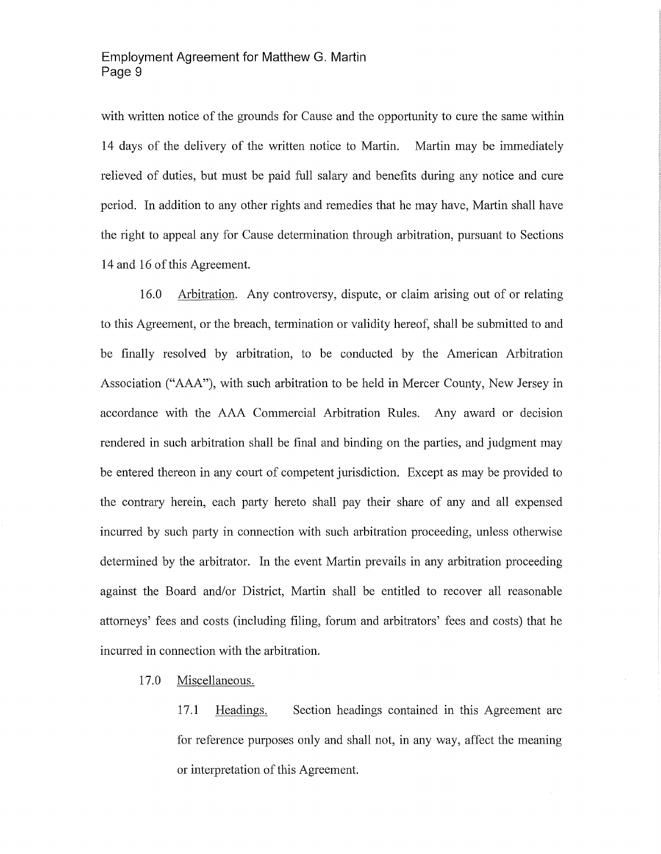with written notice of the grounds for Cause and the opportunity to cure the same within 14 days of the delivery of the written notice to Martin. Martin may be immediately relieved of duties, but must be paid full salary and benefits during any notice and cure period. In addition to any other rights and remedies that he may have, Martin shall have the right to appeal any for Cause determination through arbitration, pursuant to Sections 14 and 16 of this Agreement.

16.0 Arbitration. Any controversy, dispute, or claim arising out of or relating to this Agreement, or the breach, termination or validity hereof, shall be submitted to and be finally resolved by arbitration, to be conducted by the American Arbitration Association ("AAA"), with such arbitration to be held in Mercer County, New Jersey in accordance with the AAA Commercial Arbitration Rules. Any award or decision rendered in such arbitration shall be final and binding on the parties, and judgment may be entered thereon in any court of competent jurisdiction. Except as may be provided to the contrary herein, each party hereto shall pay their share of any and all expensed incurred by such party in connection with such arbitration proceeding, unless otherwise determined by the arbitrator. In the event Martin prevails in any arbitration proceeding against the Board and/or District, Martin shall be entitled to recover all reasonable attorneys' fees and costs (including filing, forum and arbitrators' fees and costs) that he incurred in connection with the arbitration.

17.0 Miscellaneous.

17 **.1** Headings. Section headings contained in this Agreement are for reference purposes only and shall not, in any way, affect the meaning or interpretation of this Agreement.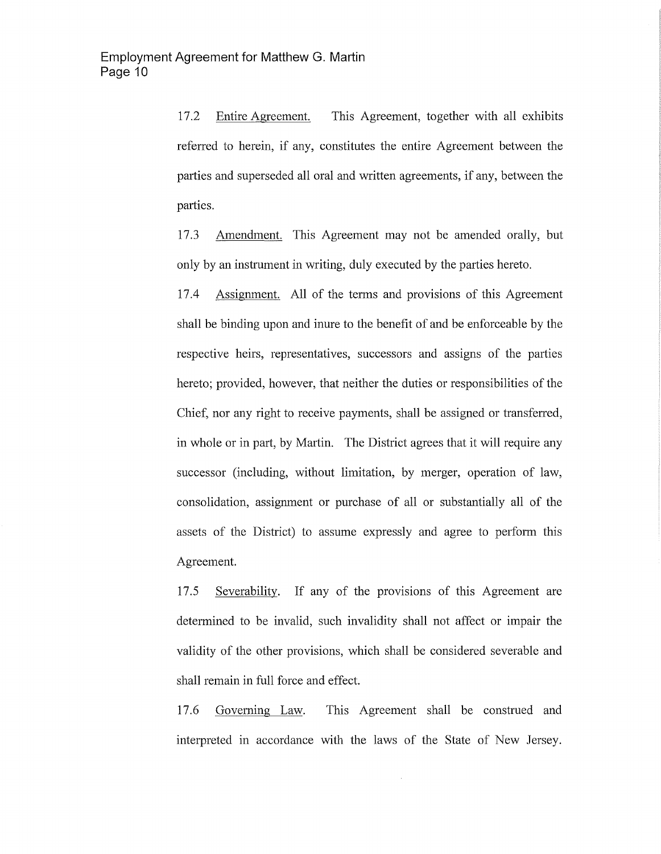17.2 Entire Agreement. This Agreement, together with all exhibits referred to herein, if any, constitutes the entire Agreement between the patties and superseded all oral and written agreements, if any, between the parties.

17.3 Amendment. This Agreement may not be amended orally, but only by an instrument in writing, duly executed by the parties hereto.

17.4 Assignment. All of the tenns and provisions of this Agreement shall be binding upon and inure to the benefit of and be enforceable by the respective heirs, representatives, successors and assigns of the parties hereto; provided, however, that neither the duties or responsibilities of the Chief, nor any right to receive payments, shall be assigned or transferred, in whole or in part, by Martin. The District agrees that it will require any successor (including, without limitation, by merger, operation of law, consolidation, assignment or purchase of all or substantially all of the assets of the District) to assume expressly and agree to perform this Agreement.

17.5 Severability. If any of the provisions of this Agreement are determined to be invalid, such invalidity shall not affect or impair the validity of the other provisions, which shall be considered severable and shall remain in full force and effect.

17.6 Governing Law. This Agreement shall be construed and interpreted in accordance with the laws of the State of New Jersey.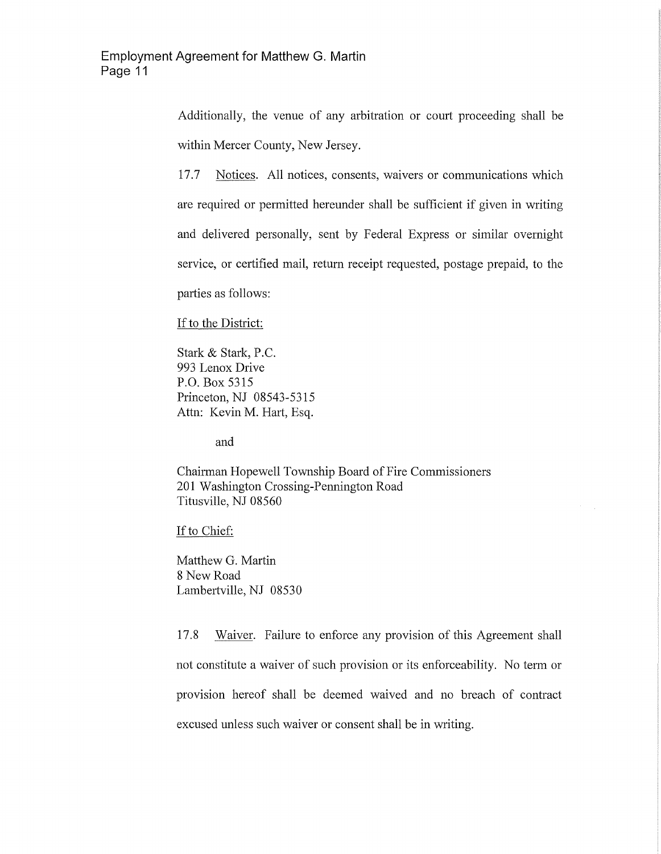Additionally, the venue of any arbitration or court proceeding shall be within Mercer County, New Jersey.

17.7 Notices. All notices, consents, waivers or communications which are required or permitted hereunder shall be sufficient if given in writing and delivered personally, sent by Federal Express or similar overnight service, or certified mail, return receipt requested, postage prepaid, to the parties as follows:

If to the District:

Stark & Stark, P.C. 993 Lenox Drive P.O. Box 5315 Princeton, NJ 08543-5315 Attn: Kevin M. Hart, Esq.

and

Chairman Hopewell Township Board of Fire Commissioners 201 Washington Crossing-Pennington Road Titusville, NJ 08560

If to Chief:

Matthew G. Martin 8 New Road Lambertville, NJ 08530

17.8 Waiver. Failure to enforce any provision of this Agreement shall not constitute a waiver of such provision or its enforceability. No term or provision hereof shall be deemed waived and no breach of contract excused unless such waiver or consent shall be in writing.